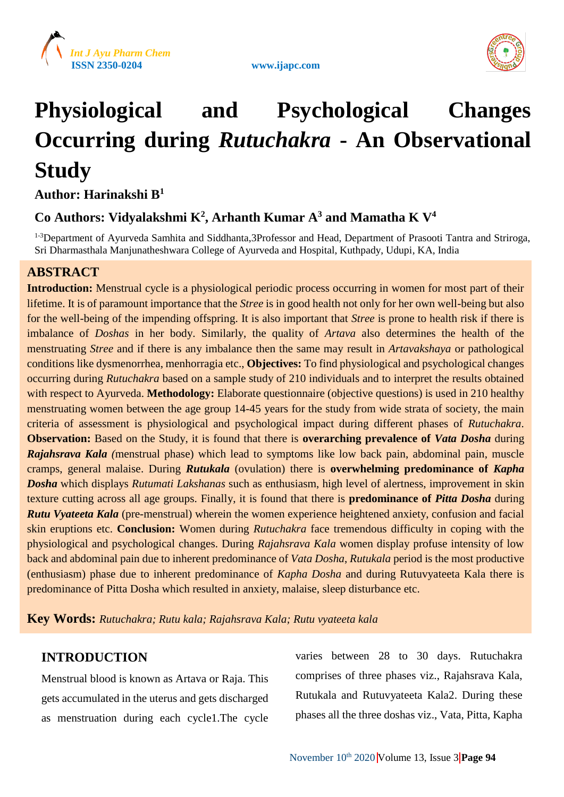





# **Physiological and Psychological Changes Occurring during** *Rutuchakra* **- An Observational Study**

**Author: Harinakshi B<sup>1</sup>**

## **Co Authors: Vidyalakshmi K<sup>2</sup> , Arhanth Kumar A<sup>3</sup> and Mamatha K V<sup>4</sup>**

<sup>1-3</sup>Department of Ayurveda Samhita and Siddhanta,3Professor and Head, Department of Prasooti Tantra and Striroga, Sri Dharmasthala Manjunatheshwara College of Ayurveda and Hospital, Kuthpady, Udupi, KA, India

## **ABSTRACT**

**Introduction:** Menstrual cycle is a physiological periodic process occurring in women for most part of their lifetime. It is of paramount importance that the *Stree* is in good health not only for her own well-being but also for the well-being of the impending offspring. It is also important that *Stree* is prone to health risk if there is imbalance of *Doshas* in her body. Similarly, the quality of *Artava* also determines the health of the menstruating *Stree* and if there is any imbalance then the same may result in *Artavakshaya* or pathological conditions like dysmenorrhea, menhorragia etc., **Objectives:** To find physiological and psychological changes occurring during *Rutuchakra* based on a sample study of 210 individuals and to interpret the results obtained with respect to Ayurveda. **Methodology:** Elaborate questionnaire (objective questions) is used in 210 healthy menstruating women between the age group 14-45 years for the study from wide strata of society, the main criteria of assessment is physiological and psychological impact during different phases of *Rutuchakra*. **Observation:** Based on the Study, it is found that there is **overarching prevalence of** *Vata Dosha* during *Rajahsrava Kala (*menstrual phase) which lead to symptoms like low back pain, abdominal pain, muscle cramps, general malaise. During *Rutukala* (ovulation) there is **overwhelming predominance of** *Kapha Dosha* which displays *Rutumati Lakshanas* such as enthusiasm, high level of alertness, improvement in skin texture cutting across all age groups. Finally, it is found that there is **predominance of** *Pitta Dosha* during *Rutu Vyateeta Kala* (pre-menstrual) wherein the women experience heightened anxiety, confusion and facial skin eruptions etc. **Conclusion:** Women during *Rutuchakra* face tremendous difficulty in coping with the physiological and psychological changes. During *Rajahsrava Kala* women display profuse intensity of low back and abdominal pain due to inherent predominance of *Vata Dosha*, *Rutukala* period is the most productive (enthusiasm) phase due to inherent predominance of *Kapha Dosha* and during Rutuvyateeta Kala there is predominance of Pitta Dosha which resulted in anxiety, malaise, sleep disturbance etc.

**Key Words:** *Rutuchakra; Rutu kala; Rajahsrava Kala; Rutu vyateeta kala*

## **INTRODUCTION**

Menstrual blood is known as Artava or Raja. This gets accumulated in the uterus and gets discharged as menstruation during each cycle1.The cycle varies between 28 to 30 days. Rutuchakra comprises of three phases viz., Rajahsrava Kala, Rutukala and Rutuvyateeta Kala2. During these phases all the three doshas viz., Vata, Pitta, Kapha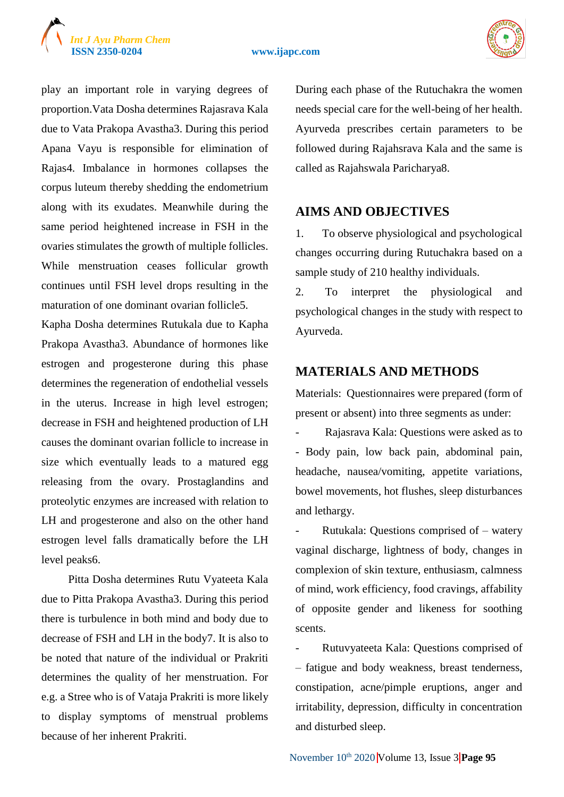#### **ISSN 2350-0204 www.ijapc.com**





play an important role in varying degrees of proportion.Vata Dosha determines Rajasrava Kala due to Vata Prakopa Avastha3. During this period Apana Vayu is responsible for elimination of Rajas4. Imbalance in hormones collapses the corpus luteum thereby shedding the endometrium along with its exudates. Meanwhile during the same period heightened increase in FSH in the ovaries stimulates the growth of multiple follicles. While menstruation ceases follicular growth continues until FSH level drops resulting in the maturation of one dominant ovarian follicle5.

Kapha Dosha determines Rutukala due to Kapha Prakopa Avastha3. Abundance of hormones like estrogen and progesterone during this phase determines the regeneration of endothelial vessels in the uterus. Increase in high level estrogen; decrease in FSH and heightened production of LH causes the dominant ovarian follicle to increase in size which eventually leads to a matured egg releasing from the ovary. Prostaglandins and proteolytic enzymes are increased with relation to LH and progesterone and also on the other hand estrogen level falls dramatically before the LH level peaks6.

Pitta Dosha determines Rutu Vyateeta Kala due to Pitta Prakopa Avastha3. During this period there is turbulence in both mind and body due to decrease of FSH and LH in the body7. It is also to be noted that nature of the individual or Prakriti determines the quality of her menstruation. For e.g. a Stree who is of Vataja Prakriti is more likely to display symptoms of menstrual problems because of her inherent Prakriti.

During each phase of the Rutuchakra the women needs special care for the well-being of her health. Ayurveda prescribes certain parameters to be followed during Rajahsrava Kala and the same is called as Rajahswala Paricharya8.

### **AIMS AND OBJECTIVES**

1. To observe physiological and psychological changes occurring during Rutuchakra based on a sample study of 210 healthy individuals.

2. To interpret the physiological and psychological changes in the study with respect to Ayurveda.

### **MATERIALS AND METHODS**

Materials: Questionnaires were prepared (form of present or absent) into three segments as under:

Rajasrava Kala: Questions were asked as to - Body pain, low back pain, abdominal pain, headache, nausea/vomiting, appetite variations, bowel movements, hot flushes, sleep disturbances and lethargy.

Rutukala: Questions comprised of  $-$  watery vaginal discharge, lightness of body, changes in complexion of skin texture, enthusiasm, calmness of mind, work efficiency, food cravings, affability of opposite gender and likeness for soothing scents.

- Rutuvyateeta Kala: Questions comprised of – fatigue and body weakness, breast tenderness, constipation, acne/pimple eruptions, anger and irritability, depression, difficulty in concentration and disturbed sleep.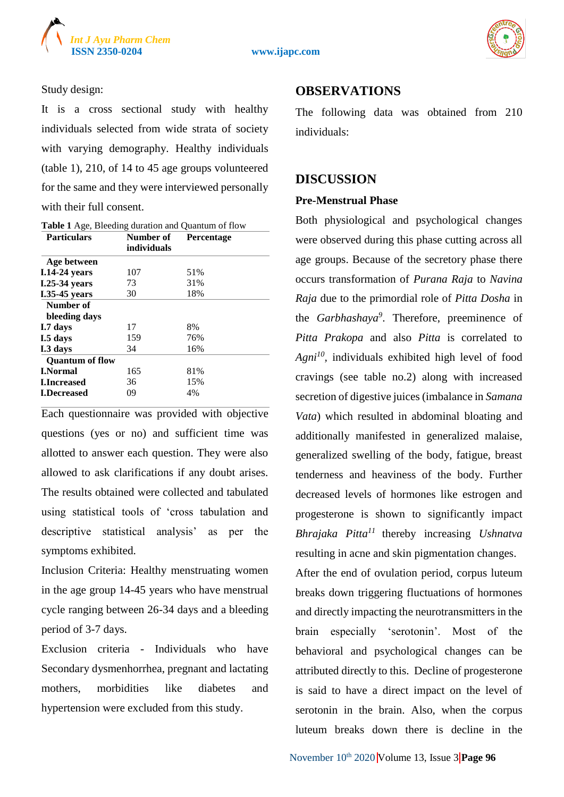



Study design:

It is a cross sectional study with healthy individuals selected from wide strata of society with varying demography. Healthy individuals (table 1), 210, of 14 to 45 age groups volunteered for the same and they were interviewed personally with their full consent.

| <b>Particulars</b>     | Number of   | <b>Percentage</b> |
|------------------------|-------------|-------------------|
|                        | individuals |                   |
| Age between            |             |                   |
| <b>I.14-24 years</b>   | 107         | 51%               |
| <b>I.25-34 years</b>   | 73          | 31%               |
| <b>I.35-45</b> years   | 30          | 18%               |
| Number of              |             |                   |
| bleeding days          |             |                   |
| I.7 days               | 17          | 8%                |
| I.5 days               | 159         | 76%               |
| I.3 days               | 34          | 16%               |
| <b>Ouantum of flow</b> |             |                   |
| <b>I.Normal</b>        | 165         | 81%               |
| <b>LIncreased</b>      | 36          | 15%               |
| <b>I.Decreased</b>     | 09          | 4%                |

Each questionnaire was provided with objective questions (yes or no) and sufficient time was allotted to answer each question. They were also allowed to ask clarifications if any doubt arises. The results obtained were collected and tabulated using statistical tools of 'cross tabulation and descriptive statistical analysis' as per the symptoms exhibited.

Inclusion Criteria: Healthy menstruating women in the age group 14-45 years who have menstrual cycle ranging between 26-34 days and a bleeding period of 3-7 days.

Exclusion criteria - Individuals who have Secondary dysmenhorrhea, pregnant and lactating mothers, morbidities like diabetes and hypertension were excluded from this study.

## **OBSERVATIONS**

The following data was obtained from 210 individuals:

## **DISCUSSION**

#### **Pre-Menstrual Phase**

Both physiological and psychological changes were observed during this phase cutting across all age groups. Because of the secretory phase there occurs transformation of *Purana Raja* to *Navina Raja* due to the primordial role of *Pitta Dosha* in the *Garbhashaya*<sup>9</sup>. Therefore, preeminence of *Pitta Prakopa* and also *Pitta* is correlated to *Agni<sup>10</sup> ,* individuals exhibited high level of food cravings (see table no.2) along with increased secretion of digestive juices (imbalance in *Samana Vata*) which resulted in abdominal bloating and additionally manifested in generalized malaise, generalized swelling of the body, fatigue, breast tenderness and heaviness of the body. Further decreased levels of hormones like estrogen and progesterone is shown to significantly impact *Bhrajaka Pitta<sup>11</sup>*thereby increasing *Ushnatva* resulting in acne and skin pigmentation changes.

After the end of ovulation period, corpus luteum breaks down triggering fluctuations of hormones and directly impacting the neurotransmitters in the brain especially 'serotonin'. Most of the behavioral and psychological changes can be attributed directly to this. Decline of progesterone is said to have a direct impact on the level of serotonin in the brain. Also, when the corpus luteum breaks down there is decline in the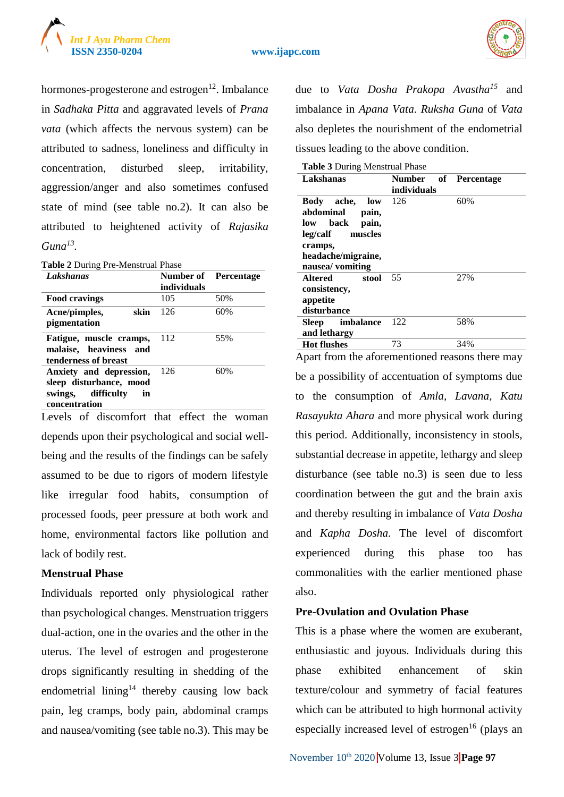



hormones-progesterone and estrogen $12$ . Imbalance in *Sadhaka Pitta* and aggravated levels of *Prana vata* (which affects the nervous system) can be attributed to sadness, loneliness and difficulty in concentration, disturbed sleep, irritability, aggression/anger and also sometimes confused state of mind (see table no.2). It can also be attributed to heightened activity of *Rajasika Guna<sup>13</sup> .*

**Table 2** During Pre-Menstrual Phase

| Lakshanas                                                                                       | <b>Number of</b> Percentage<br>individuals |     |
|-------------------------------------------------------------------------------------------------|--------------------------------------------|-----|
| Food cravings                                                                                   | 105                                        | 50% |
| skin<br>Acne/pimples,<br>pigmentation                                                           | 126                                        | 60% |
| Fatigue, muscle cramps,<br>malaise, heaviness and<br>tenderness of breast                       | 112                                        | 55% |
| Anxiety and depression,<br>sleep disturbance, mood<br>swings, difficulty<br>in<br>concentration | 126                                        | 60% |

Levels of discomfort that effect the woman depends upon their psychological and social wellbeing and the results of the findings can be safely assumed to be due to rigors of modern lifestyle like irregular food habits, consumption of processed foods, peer pressure at both work and home, environmental factors like pollution and lack of bodily rest.

#### **Menstrual Phase**

Individuals reported only physiological rather than psychological changes. Menstruation triggers dual-action, one in the ovaries and the other in the uterus. The level of estrogen and progesterone drops significantly resulting in shedding of the endometrial lining<sup>14</sup> thereby causing low back pain, leg cramps, body pain, abdominal cramps and nausea/vomiting (see table no.3). This may be due to *Vata Dosha Prakopa Avastha<sup>15</sup>* and imbalance in *Apana Vata*. *Ruksha Guna* of *Vata* also depletes the nourishment of the endometrial tissues leading to the above condition.

|  | Table 3 During Menstrual Phase |  |
|--|--------------------------------|--|
|  |                                |  |

| $\frac{1}{2}$ $\frac{1}{2}$ $\frac{1}{2}$ $\frac{1}{2}$ $\frac{1}{2}$ $\frac{1}{2}$ $\frac{1}{2}$ $\frac{1}{2}$ $\frac{1}{2}$ $\frac{1}{2}$ |                                     |     |  |
|---------------------------------------------------------------------------------------------------------------------------------------------|-------------------------------------|-----|--|
| Lakshanas                                                                                                                                   | Number of Percentage<br>individuals |     |  |
| Body ache,<br>low<br>abdominal<br>pain,<br>low back<br>pain,<br>leg/calf muscles<br>cramps,<br>headache/migraine,<br>nausea/ vomiting       | 126                                 | 60% |  |
| Altered stool<br>consistency,<br>appetite<br>disturbance                                                                                    | 55                                  | 27% |  |
| Sleep imbalance<br>and lethargy                                                                                                             | 122                                 | 58% |  |
| <b>Hot flushes</b>                                                                                                                          | 73                                  | 34% |  |

Apart from the aforementioned reasons there may be a possibility of accentuation of symptoms due to the consumption of *Amla, Lavana, Katu Rasayukta Ahara* and more physical work during this period. Additionally, inconsistency in stools, substantial decrease in appetite, lethargy and sleep disturbance (see table no.3) is seen due to less coordination between the gut and the brain axis and thereby resulting in imbalance of *Vata Dosha* and *Kapha Dosha*. The level of discomfort experienced during this phase too has commonalities with the earlier mentioned phase also.

#### **Pre-Ovulation and Ovulation Phase**

This is a phase where the women are exuberant, enthusiastic and joyous. Individuals during this phase exhibited enhancement of skin texture/colour and symmetry of facial features which can be attributed to high hormonal activity especially increased level of estrogen $16$  (plays an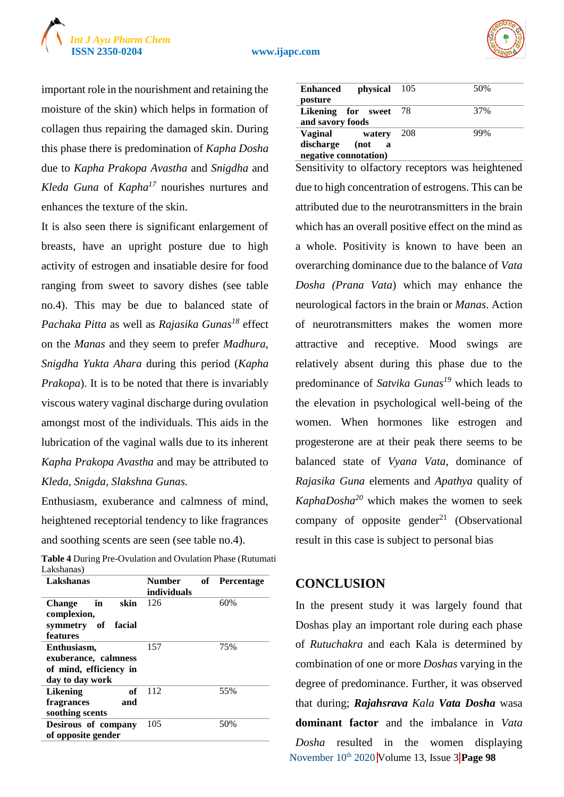



important role in the nourishment and retaining the moisture of the skin) which helps in formation of collagen thus repairing the damaged skin. During this phase there is predomination of *Kapha Dosha* due to *Kapha Prakopa Avastha* and *Snigdha* and *Kleda Guna* of *Kapha<sup>17</sup>* nourishes nurtures and enhances the texture of the skin.

It is also seen there is significant enlargement of breasts, have an upright posture due to high activity of estrogen and insatiable desire for food ranging from sweet to savory dishes (see table no.4). This may be due to balanced state of *Pachaka Pitta* as well as *Rajasika Gunas<sup>18</sup>* effect on the *Manas* and they seem to prefer *Madhura*, *Snigdha Yukta Ahara* during this period (*Kapha Prakopa*). It is to be noted that there is invariably viscous watery vaginal discharge during ovulation amongst most of the individuals. This aids in the lubrication of the vaginal walls due to its inherent *Kapha Prakopa Avastha* and may be attributed to *Kleda, Snigda, Slakshna Gunas.*

Enthusiasm, exuberance and calmness of mind, heightened receptorial tendency to like fragrances and soothing scents are seen (see table no.4).

| Table 4 During Pre-Ovulation and Ovulation Phase (Rutumati |               |               |
|------------------------------------------------------------|---------------|---------------|
| Lakshanas)                                                 |               |               |
| Lakshanas                                                  | <b>Number</b> | of Percentage |

| Number      | оf | <b>Percentage</b> |
|-------------|----|-------------------|
| individuals |    |                   |
| 126         |    | 60%               |
|             |    |                   |
|             |    |                   |
|             |    |                   |
| 157         |    | 75%               |
|             |    |                   |
|             |    |                   |
|             |    |                   |
| 112         |    | 55%               |
|             |    |                   |
|             |    |                   |
| 105         |    | 50%               |
|             |    |                   |
|             |    |                   |

| physical 105<br><b>Enhanced</b><br>posture                                  |     | 50% |
|-----------------------------------------------------------------------------|-----|-----|
| Likening for sweet 78<br>and savory foods                                   |     | 37% |
| Vaginal<br>watery<br>discharge (not<br>$\mathbf a$<br>negative connotation) | 208 | 99% |

Sensitivity to olfactory receptors was heightened due to high concentration of estrogens. This can be attributed due to the neurotransmitters in the brain which has an overall positive effect on the mind as a whole. Positivity is known to have been an overarching dominance due to the balance of *Vata Dosha (Prana Vata*) which may enhance the neurological factors in the brain or *Manas*. Action of neurotransmitters makes the women more attractive and receptive. Mood swings are relatively absent during this phase due to the predominance of *Satvika Gunas<sup>19</sup>* which leads to the elevation in psychological well-being of the women. When hormones like estrogen and progesterone are at their peak there seems to be balanced state of *Vyana Vata*, dominance of *Rajasika Guna* elements and *Apathya* quality of  $KaphaDosha<sup>20</sup>$  which makes the women to seek company of opposite gender<sup>21</sup> (Observational result in this case is subject to personal bias

## **CONCLUSION**

November 10th 2020 Volume 13, Issue 3 **Page 98** In the present study it was largely found that Doshas play an important role during each phase of *Rutuchakra* and each Kala is determined by combination of one or more *Doshas* varying in the degree of predominance. Further, it was observed that during; *Rajahsrava Kala Vata Dosha* wasa **dominant factor** and the imbalance in *Vata Dosha* resulted in the women displaying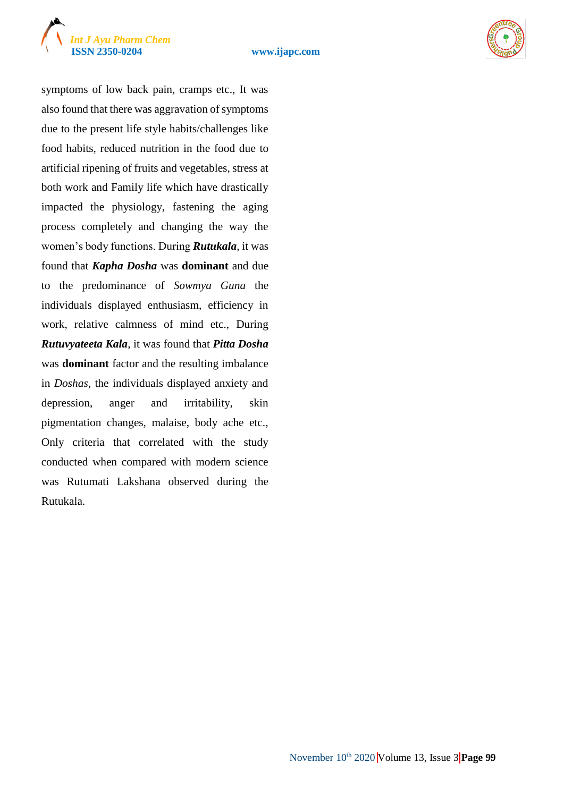





symptoms of low back pain, cramps etc., It was also found that there was aggravation of symptoms due to the present life style habits/challenges like food habits, reduced nutrition in the food due to artificial ripening of fruits and vegetables, stress at both work and Family life which have drastically impacted the physiology, fastening the aging process completely and changing the way the women's body functions. During *Rutukala*, it was found that *Kapha Dosha* was **dominant** and due to the predominance of *Sowmya Guna* the individuals displayed enthusiasm, efficiency in work, relative calmness of mind etc., During *Rutuvyateeta Kala*, it was found that *Pitta Dosha*  was **dominant** factor and the resulting imbalance in *Doshas*, the individuals displayed anxiety and depression, anger and irritability, skin pigmentation changes, malaise, body ache etc., Only criteria that correlated with the study conducted when compared with modern science was Rutumati Lakshana observed during the Rutukala.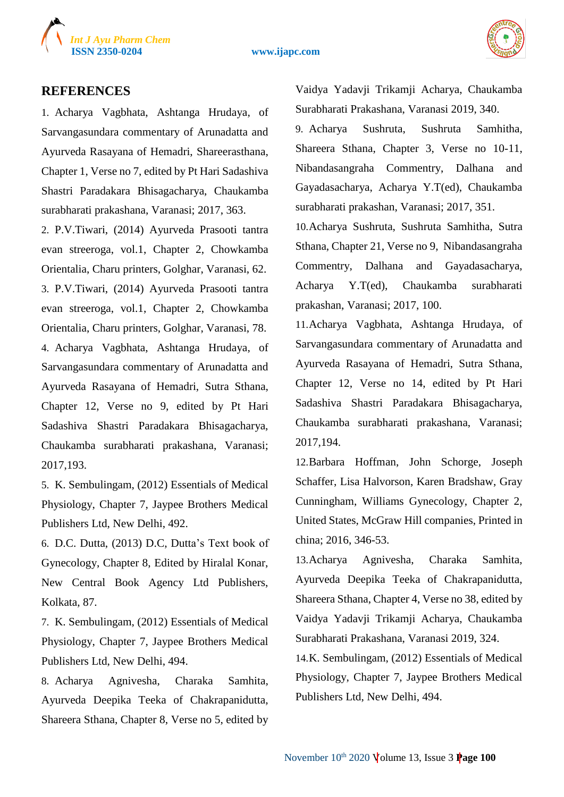

#### **ISSN 2350-0204 www.ijapc.com**



#### **REFERENCES**

1. Acharya Vagbhata, Ashtanga Hrudaya, of Sarvangasundara commentary of Arunadatta and Ayurveda Rasayana of Hemadri, Shareerasthana, Chapter 1, Verse no 7, edited by Pt Hari Sadashiva Shastri Paradakara Bhisagacharya, Chaukamba surabharati prakashana, Varanasi; 2017, 363.

2. P.V.Tiwari, (2014) Ayurveda Prasooti tantra evan streeroga, vol.1, Chapter 2, Chowkamba Orientalia, Charu printers, Golghar, Varanasi, 62. 3. P.V.Tiwari, (2014) Ayurveda Prasooti tantra evan streeroga, vol.1, Chapter 2, Chowkamba Orientalia, Charu printers, Golghar, Varanasi, 78. 4. Acharya Vagbhata, Ashtanga Hrudaya, of Sarvangasundara commentary of Arunadatta and Ayurveda Rasayana of Hemadri, Sutra Sthana, Chapter 12, Verse no 9, edited by Pt Hari Sadashiva Shastri Paradakara Bhisagacharya, Chaukamba surabharati prakashana, Varanasi; 2017,193.

5. K. Sembulingam, (2012) Essentials of Medical Physiology, Chapter 7, Jaypee Brothers Medical Publishers Ltd, New Delhi, 492.

6. D.C. Dutta, (2013) D.C, Dutta's Text book of Gynecology, Chapter 8, Edited by Hiralal Konar, New Central Book Agency Ltd Publishers, Kolkata, 87.

7. K. Sembulingam, (2012) Essentials of Medical Physiology, Chapter 7, Jaypee Brothers Medical Publishers Ltd, New Delhi, 494.

8. Acharya Agnivesha, Charaka Samhita, Ayurveda Deepika Teeka of Chakrapanidutta, Shareera Sthana, Chapter 8, Verse no 5, edited by Vaidya Yadavji Trikamji Acharya, Chaukamba Surabharati Prakashana, Varanasi 2019, 340.

9. Acharya Sushruta, Sushruta Samhitha, Shareera Sthana, Chapter 3, Verse no 10-11, Nibandasangraha Commentry, Dalhana and Gayadasacharya, Acharya Y.T(ed), Chaukamba surabharati prakashan, Varanasi; 2017, 351.

10.Acharya Sushruta, Sushruta Samhitha, Sutra Sthana, Chapter 21, Verse no 9, Nibandasangraha Commentry, Dalhana and Gayadasacharya, Acharya Y.T(ed), Chaukamba surabharati prakashan, Varanasi; 2017, 100.

11.Acharya Vagbhata, Ashtanga Hrudaya, of Sarvangasundara commentary of Arunadatta and Ayurveda Rasayana of Hemadri, Sutra Sthana, Chapter 12, Verse no 14, edited by Pt Hari Sadashiva Shastri Paradakara Bhisagacharya, Chaukamba surabharati prakashana, Varanasi; 2017,194.

12.Barbara Hoffman, John Schorge, Joseph Schaffer, Lisa Halvorson, Karen Bradshaw, Gray Cunningham, Williams Gynecology, Chapter 2, United States, McGraw Hill companies, Printed in china; 2016, 346-53.

13.Acharya Agnivesha, Charaka Samhita, Ayurveda Deepika Teeka of Chakrapanidutta, Shareera Sthana, Chapter 4, Verse no 38, edited by Vaidya Yadavji Trikamji Acharya, Chaukamba Surabharati Prakashana, Varanasi 2019, 324.

14.K. Sembulingam, (2012) Essentials of Medical Physiology, Chapter 7, Jaypee Brothers Medical Publishers Ltd, New Delhi, 494.